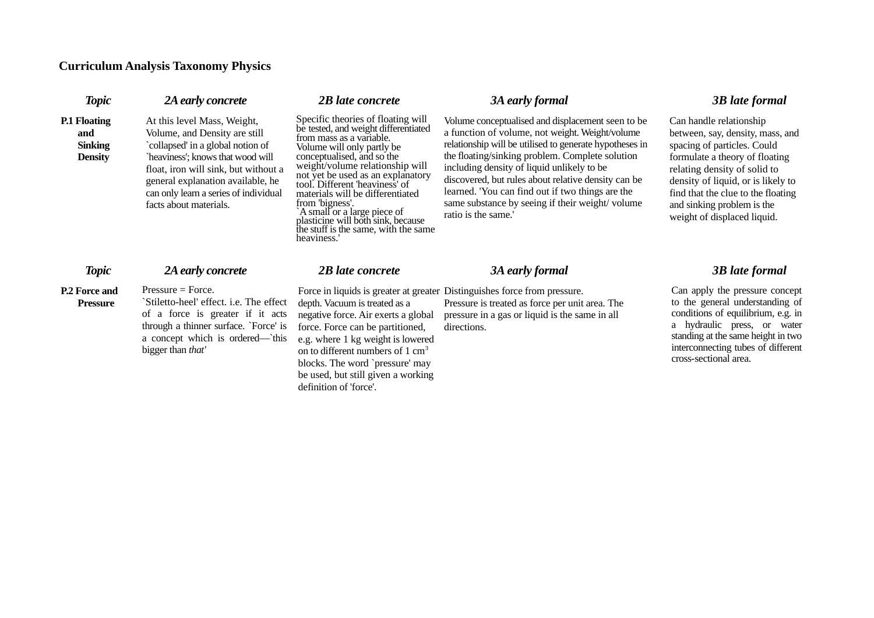## **Curriculum Analysis Taxonomy Physics**

| <b>Topic</b>                                                   | 2A early concrete                                                                                                                                                                                                                                                                      | 2B late concrete                                                                                                                                                                                                                                                                                                                                                                                                                                                 | 3A early formal                                                                                                                                                                                                                                                                                                                                                                                                                                       | <b>3B</b> late formal                                                                                                                                                                                                                                                                                |
|----------------------------------------------------------------|----------------------------------------------------------------------------------------------------------------------------------------------------------------------------------------------------------------------------------------------------------------------------------------|------------------------------------------------------------------------------------------------------------------------------------------------------------------------------------------------------------------------------------------------------------------------------------------------------------------------------------------------------------------------------------------------------------------------------------------------------------------|-------------------------------------------------------------------------------------------------------------------------------------------------------------------------------------------------------------------------------------------------------------------------------------------------------------------------------------------------------------------------------------------------------------------------------------------------------|------------------------------------------------------------------------------------------------------------------------------------------------------------------------------------------------------------------------------------------------------------------------------------------------------|
| <b>P.1 Floating</b><br>and<br><b>Sinking</b><br><b>Density</b> | At this level Mass, Weight,<br>Volume, and Density are still<br>`collapsed' in a global notion of<br>`heaviness'; knows that wood will<br>float, iron will sink, but without a<br>general explanation available, he<br>can only learn a series of individual<br>facts about materials. | Specific theories of floating will<br>be tested, and weight differentiated<br>from mass as a variable.<br>Volume will only partly be<br>conceptualised, and so the<br>weight/volume relationship will<br>not yet be used as an explanatory<br>tool. Different 'heaviness' of<br>materials will be differentiated<br>from 'bigness'.<br>`A small`or a large piece of<br>plasticine will both sink, because<br>the stuff is the same, with the same<br>heaviness.' | Volume conceptualised and displacement seen to be<br>a function of volume, not weight. Weight/volume<br>relationship will be utilised to generate hypotheses in<br>the floating/sinking problem. Complete solution<br>including density of liquid unlikely to be<br>discovered, but rules about relative density can be<br>learned. 'You can find out if two things are the<br>same substance by seeing if their weight/volume<br>ratio is the same.' | Can handle relationship<br>between, say, density, mass, an<br>spacing of particles. Could<br>formulate a theory of floating<br>relating density of solid to<br>density of liquid, or is likely to<br>find that the clue to the floating<br>and sinking problem is the<br>weight of displaced liquid. |
| <b>Topic</b>                                                   | 2A early concrete                                                                                                                                                                                                                                                                      | 2B late concrete                                                                                                                                                                                                                                                                                                                                                                                                                                                 | 3A early formal                                                                                                                                                                                                                                                                                                                                                                                                                                       | <b>3B</b> late formal                                                                                                                                                                                                                                                                                |
| <b>P.2 Force and</b><br><b>Pressure</b>                        | $Pressure = Force.$<br>`Stiletto-heel' effect. i.e. The effect<br>of a force is greater if it acts                                                                                                                                                                                     | depth. Vacuum is treated as a<br>negative force. Air exerts a global                                                                                                                                                                                                                                                                                                                                                                                             | Force in liquids is greater at greater Distinguishes force from pressure.<br>Pressure is treated as force per unit area. The<br>pressure in a gas or liquid is the same in all                                                                                                                                                                                                                                                                        | Can apply the pressure conce<br>to the general understanding<br>conditions of equilibrium, e.g.                                                                                                                                                                                                      |

through a thinner surface. `Force' is force. Force can be partitioned, a concept which is ordered—`this e.g. where 1 kg weight is lowered bigger than *that'*

on to different numbers of 1 cm<sup>3</sup> blocks. The word `pressure' may be used, but still given a working definition of 'force'.

directions.

between, say, density, mass, and density of liquid, or is likely to find that the clue to the floating

Can apply the pressure concept to the general understanding of conditions of equilibrium, e.g. in a hydraulic press, or water standing at the same height in two interconnecting tubes of different cross-sectional area.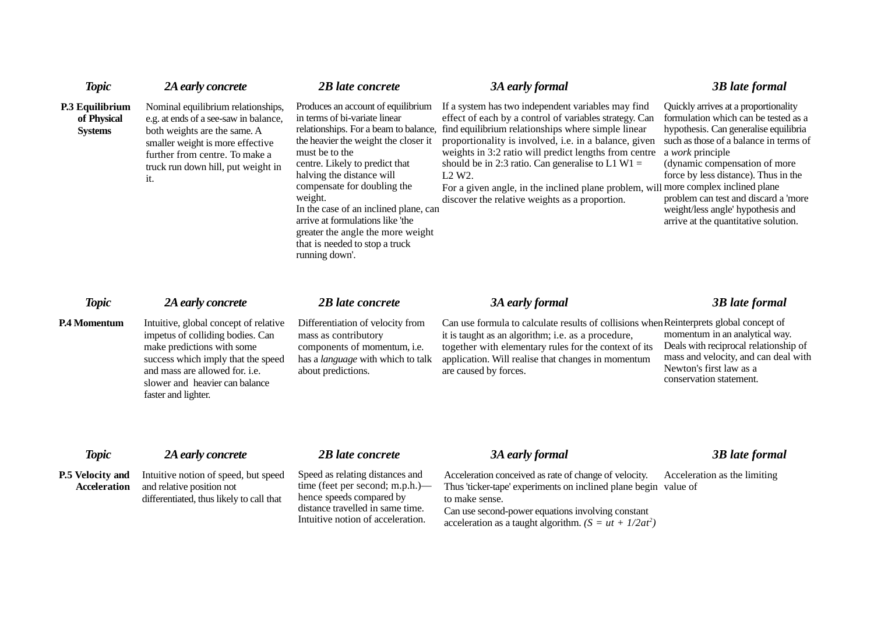| <b>Topic</b>                                     | 2A early concrete                                                                                                                                                                                                                        | 2B late concrete                                                                                                                                                                                                                                                                                                                                                                                                                                      | 3A early formal                                                                                                                                                                                                                                                                                                                                                                                                                                                                                                        | <b>3B</b> late formal                                                                                                                                                                                                                                                                                                                                                             |
|--------------------------------------------------|------------------------------------------------------------------------------------------------------------------------------------------------------------------------------------------------------------------------------------------|-------------------------------------------------------------------------------------------------------------------------------------------------------------------------------------------------------------------------------------------------------------------------------------------------------------------------------------------------------------------------------------------------------------------------------------------------------|------------------------------------------------------------------------------------------------------------------------------------------------------------------------------------------------------------------------------------------------------------------------------------------------------------------------------------------------------------------------------------------------------------------------------------------------------------------------------------------------------------------------|-----------------------------------------------------------------------------------------------------------------------------------------------------------------------------------------------------------------------------------------------------------------------------------------------------------------------------------------------------------------------------------|
| P.3 Equilibrium<br>of Physical<br><b>Systems</b> | Nominal equilibrium relationships,<br>e.g. at ends of a see-saw in balance,<br>both weights are the same. A<br>smaller weight is more effective<br>further from centre. To make a<br>truck run down hill, put weight in<br>it.           | Produces an account of equilibrium<br>in terms of bi-variate linear<br>relationships. For a beam to balance,<br>the heavier the weight the closer it<br>must be to the<br>centre. Likely to predict that<br>halving the distance will<br>compensate for doubling the<br>weight.<br>In the case of an inclined plane, can<br>arrive at formulations like 'the<br>greater the angle the more weight<br>that is needed to stop a truck<br>running down'. | If a system has two independent variables may find<br>effect of each by a control of variables strategy. Can<br>find equilibrium relationships where simple linear<br>proportionality is involved, i.e. in a balance, given<br>weights in 3:2 ratio will predict lengths from centre<br>should be in 2:3 ratio. Can generalise to $L1 W1 =$<br>L <sub>2</sub> W <sub>2</sub> .<br>For a given angle, in the inclined plane problem, will more complex inclined plane<br>discover the relative weights as a proportion. | Quickly arrives at a proportionality<br>formulation which can be tested as a<br>hypothesis. Can generalise equilibria<br>such as those of a balance in terms of<br>a work principle<br>(dynamic compensation of more<br>force by less distance). Thus in the<br>problem can test and discard a 'more<br>weight/less angle' hypothesis and<br>arrive at the quantitative solution. |
| <b>Topic</b>                                     | 2A early concrete                                                                                                                                                                                                                        | 2B late concrete                                                                                                                                                                                                                                                                                                                                                                                                                                      | 3A early formal                                                                                                                                                                                                                                                                                                                                                                                                                                                                                                        | <b>3B</b> late formal                                                                                                                                                                                                                                                                                                                                                             |
| <b>P.4 Momentum</b>                              | Intuitive, global concept of relative<br>impetus of colliding bodies. Can<br>make predictions with some<br>success which imply that the speed<br>and mass are allowed for. i.e.<br>slower and heavier can balance<br>faster and lighter. | Differentiation of velocity from<br>mass as contributory<br>components of momentum, i.e.<br>has a language with which to talk<br>about predictions.                                                                                                                                                                                                                                                                                                   | Can use formula to calculate results of collisions when Reinterprets global concept of<br>it is taught as an algorithm; i.e. as a procedure,<br>together with elementary rules for the context of its<br>application. Will realise that changes in momentum<br>are caused by forces.                                                                                                                                                                                                                                   | momentum in an analytical way.<br>Deals with reciprocal relationship of<br>mass and velocity, and can deal with<br>Newton's first law as a<br>conservation statement.                                                                                                                                                                                                             |
| <b>Topic</b>                                     | 2A early concrete                                                                                                                                                                                                                        | 2B late concrete                                                                                                                                                                                                                                                                                                                                                                                                                                      | 3A early formal                                                                                                                                                                                                                                                                                                                                                                                                                                                                                                        | <b>3B</b> late formal                                                                                                                                                                                                                                                                                                                                                             |
| <b>P.5 Velocity and</b><br><b>Acceleration</b>   | Intuitive notion of speed, but speed<br>and relative position not<br>differentiated, thus likely to call that                                                                                                                            | Speed as relating distances and<br>time (feet per second; m.p.h.)—<br>hence speeds compared by<br>distance travelled in same time.                                                                                                                                                                                                                                                                                                                    | Acceleration conceived as rate of change of velocity.<br>Thus 'ticker-tape' experiments on inclined plane begin value of<br>to make sense.<br>Can use second-power equations involving constant                                                                                                                                                                                                                                                                                                                        | Acceleration as the limiting                                                                                                                                                                                                                                                                                                                                                      |

Intuitive notion of acceleration.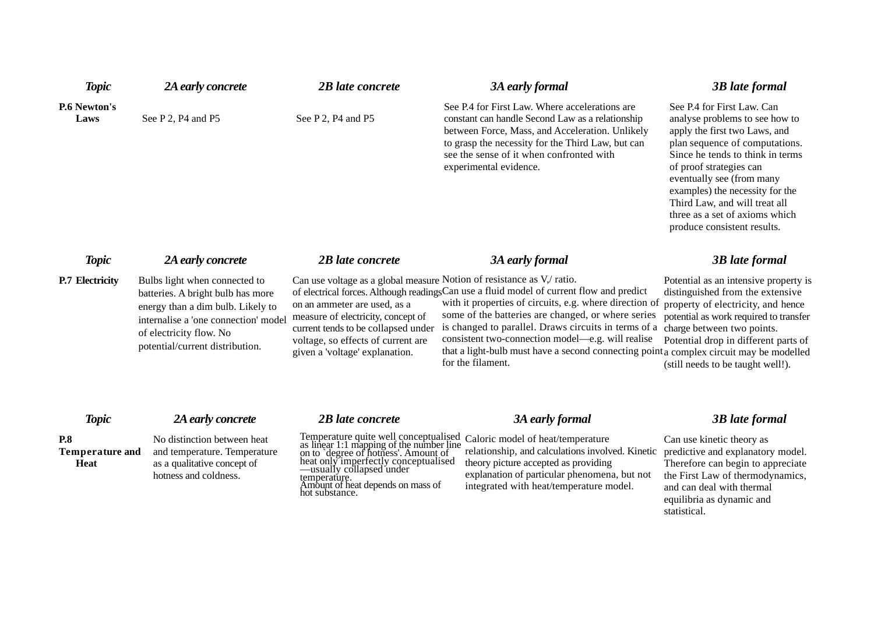| <b>Topic</b>                                        | 2A early concrete                                                                                                                                                                                             | <b>2B</b> late concrete                                                                                                                                                                                                                                             | <b>3A early formal</b>                                                                                                                                                                                                                                                                                                                                                                                                                                                    | <b>3B</b> late formal                                                                                                                                                                                                                                                                                                                                            |
|-----------------------------------------------------|---------------------------------------------------------------------------------------------------------------------------------------------------------------------------------------------------------------|---------------------------------------------------------------------------------------------------------------------------------------------------------------------------------------------------------------------------------------------------------------------|---------------------------------------------------------------------------------------------------------------------------------------------------------------------------------------------------------------------------------------------------------------------------------------------------------------------------------------------------------------------------------------------------------------------------------------------------------------------------|------------------------------------------------------------------------------------------------------------------------------------------------------------------------------------------------------------------------------------------------------------------------------------------------------------------------------------------------------------------|
| <b>P.6 Newton's</b><br>Laws                         | See P 2, P4 and P5                                                                                                                                                                                            | See P 2, P4 and P5                                                                                                                                                                                                                                                  | See P.4 for First Law. Where accelerations are<br>constant can handle Second Law as a relationship<br>between Force, Mass, and Acceleration. Unlikely<br>to grasp the necessity for the Third Law, but can<br>see the sense of it when confronted with<br>experimental evidence.                                                                                                                                                                                          | See P.4 for First Law. Can<br>analyse problems to see how to<br>apply the first two Laws, and<br>plan sequence of computations.<br>Since he tends to think in terms<br>of proof strategies can<br>eventually see (from many<br>examples) the necessity for the<br>Third Law, and will treat all<br>three as a set of axioms which<br>produce consistent results. |
| <b>Topic</b>                                        | 2A early concrete                                                                                                                                                                                             | 2B late concrete                                                                                                                                                                                                                                                    | 3A early formal                                                                                                                                                                                                                                                                                                                                                                                                                                                           | <b>3B</b> late formal                                                                                                                                                                                                                                                                                                                                            |
| <b>P.7 Electricity</b>                              | Bulbs light when connected to<br>batteries. A bright bulb has more<br>energy than a dim bulb. Likely to<br>internalise a 'one connection' model<br>of electricity flow. No<br>potential/current distribution. | Can use voltage as a global measure Notion of resistance as V,/ ratio.<br>on an ammeter are used, as a<br>measure of electricity, concept of<br>current tends to be collapsed under<br>voltage, so effects of current are<br>given a 'voltage' explanation.         | of electrical forces. Although readingsCan use a fluid model of current flow and predict<br>with it properties of circuits, e.g. where direction of property of electricity, and hence<br>some of the batteries are changed, or where series<br>is changed to parallel. Draws circuits in terms of a<br>consistent two-connection model-e.g. will realise<br>that a light-bulb must have a second connecting point a complex circuit may be modelled<br>for the filament. | Potential as an intensive property is<br>distinguished from the extensive<br>potential as work required to transfer<br>charge between two points.<br>Potential drop in different parts of<br>(still needs to be taught well!).                                                                                                                                   |
| <b>Topic</b>                                        | 2A early concrete                                                                                                                                                                                             | 2B late concrete                                                                                                                                                                                                                                                    | <b>3A early formal</b>                                                                                                                                                                                                                                                                                                                                                                                                                                                    | <b>3B</b> late formal                                                                                                                                                                                                                                                                                                                                            |
| <b>P.8</b><br><b>Temperature and</b><br><b>Heat</b> | No distinction between heat<br>and temperature. Temperature<br>as a qualitative concept of<br>hotness and coldness.                                                                                           | Temperature quite well conceptualised<br>as linear 1:1 mapping of the number line<br>on to degree of hotness'. Amount of<br>heat only imperfectly conceptualised<br>—usually collapsed under<br>temperature.<br>Amount of heat depends on mass of<br>hot substance. | Caloric model of heat/temperature<br>relationship, and calculations involved. Kinetic<br>theory picture accepted as providing<br>explanation of particular phenomena, but not<br>integrated with heat/temperature model.                                                                                                                                                                                                                                                  | Can use kinetic theory as<br>predictive and explanatory model.<br>Therefore can begin to appreciate<br>the First Law of thermodynamics,<br>and can deal with thermal<br>equilibria as dynamic and                                                                                                                                                                |

statistical.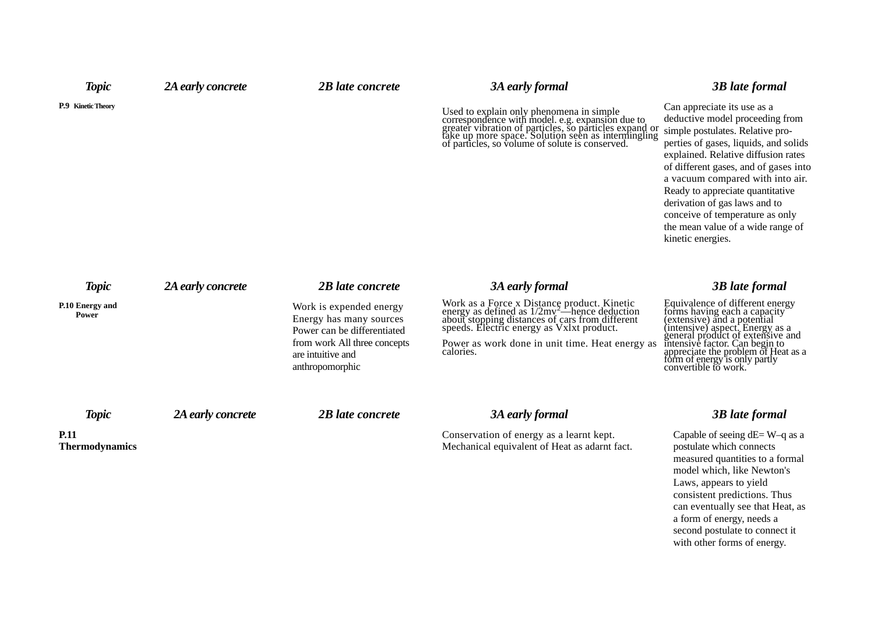| <b>Topic</b>                         | 2A early concrete | 2B late concrete                                                                                                                                          | 3A early formal                                                                                                                                                                                                                                       | <b>3B</b> late formal                                                                                                                                                                                                                                                                                                                                                                                                             |
|--------------------------------------|-------------------|-----------------------------------------------------------------------------------------------------------------------------------------------------------|-------------------------------------------------------------------------------------------------------------------------------------------------------------------------------------------------------------------------------------------------------|-----------------------------------------------------------------------------------------------------------------------------------------------------------------------------------------------------------------------------------------------------------------------------------------------------------------------------------------------------------------------------------------------------------------------------------|
| P.9 Kinetic Theory                   |                   |                                                                                                                                                           | Used to explain only phenomena in simple<br>correspondence with model. e.g. expansion due to<br>greater vibration of particles, so particles expand or<br>take up more space. Solution seen as intermingling<br>of particles, so volume of            | Can appreciate its use as a<br>deductive model proceeding from<br>simple postulates. Relative pro-<br>perties of gases, liquids, and solids<br>explained. Relative diffusion rates<br>of different gases, and of gases into<br>a vacuum compared with into air.<br>Ready to appreciate quantitative<br>derivation of gas laws and to<br>conceive of temperature as only<br>the mean value of a wide range of<br>kinetic energies. |
| <b>Topic</b>                         | 2A early concrete | 2B late concrete                                                                                                                                          | 3A early formal                                                                                                                                                                                                                                       | <b>3B</b> late formal                                                                                                                                                                                                                                                                                                                                                                                                             |
| P.10 Energy and<br>Power             |                   | Work is expended energy<br>Energy has many sources<br>Power can be differentiated<br>from work All three concepts<br>are intuitive and<br>anthropomorphic | Work as a Force x Distance product. Kinetic energy as defined as $1/2mv^2$ —hence deduction about stopping distances of cars from different speeds. Electric energy as Vxlxt product.<br>Power as work done in unit time. Heat energy as<br>calories. | Equivalence of different energy<br>forms having each a capacity<br>(extensive) and a potential<br>(intensive) aspect. Energy as a<br>general product of extensive and<br>intensive factor. Can begin to<br>appreciate the problem of Heat as a<br>form of energy is only partly<br>convertible to work.                                                                                                                           |
| <b>Topic</b>                         | 2A early concrete | 2B late concrete                                                                                                                                          | 3A early formal                                                                                                                                                                                                                                       | <b>3B</b> late formal                                                                                                                                                                                                                                                                                                                                                                                                             |
| <b>P.11</b><br><b>Thermodynamics</b> |                   |                                                                                                                                                           | Conservation of energy as a learnt kept.<br>Mechanical equivalent of Heat as adarnt fact.                                                                                                                                                             | Capable of seeing $dE = W - q$ as a<br>postulate which connects<br>measured quantities to a formal                                                                                                                                                                                                                                                                                                                                |

model which, like Newton's Laws, appears to yield consistent predictions. Thus can eventually see that Heat, as a form of energy, needs a second postulate to connect it with other forms of energy.